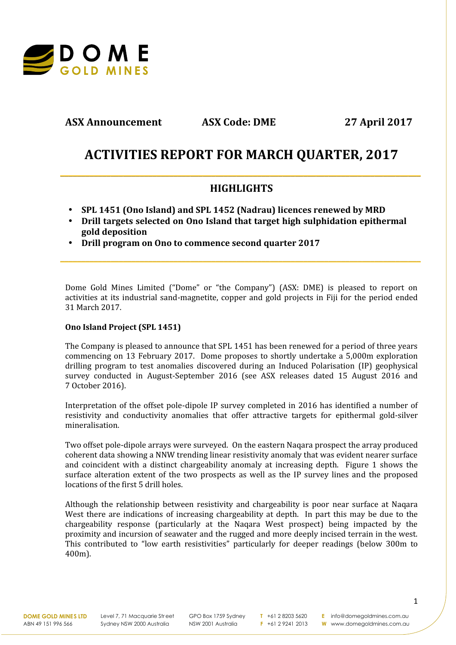

**ASX Announcement ASX Code: DME 27 April 2017**

# **ACTIVITIES REPORT FOR MARCH QUARTER, 2017**

## **HIGHLIGHTS**

**\_\_\_\_\_\_\_\_\_\_\_\_\_\_\_\_\_\_\_\_\_\_\_\_\_\_\_\_\_\_\_\_\_\_\_\_\_\_\_\_\_\_\_\_\_\_\_\_\_\_\_\_\_\_\_\_\_\_\_\_\_\_\_\_\_\_\_\_\_\_\_\_\_\_\_\_\_\_\_\_\_\_\_\_\_\_**

**\_\_\_\_\_\_\_\_\_\_\_\_\_\_\_\_\_\_\_\_\_\_\_\_\_\_\_\_\_\_\_\_\_\_\_\_\_\_\_\_\_\_\_\_\_\_\_\_\_\_\_\_\_\_\_\_\_\_\_\_\_\_\_\_\_\_\_\_\_\_\_\_\_\_\_\_\_\_\_\_\_\_\_\_\_\_**

- **SPL 1451 (Ono Island) and SPL 1452 (Nadrau) licences renewed by MRD**
- **Drill targets selected on Ono Island that target high sulphidation epithermal gold deposition**
- **Drill program on Ono to commence second quarter 2017**

Dome Gold Mines Limited ("Dome" or "the Company") (ASX: DME) is pleased to report on activities at its industrial sand-magnetite, copper and gold projects in Fiji for the period ended 31 March 2017.

### **Ono Island Project (SPL 1451)**

The Company is pleased to announce that SPL 1451 has been renewed for a period of three years commencing on 13 February 2017. Dome proposes to shortly undertake a 5,000m exploration drilling program to test anomalies discovered during an Induced Polarisation (IP) geophysical survey conducted in August-September 2016 (see ASX releases dated 15 August 2016 and 7 October 2016).

Interpretation of the offset pole-dipole IP survey completed in 2016 has identified a number of resistivity and conductivity anomalies that offer attractive targets for epithermal gold-silver mineralisation.

Two offset pole-dipole arrays were surveyed. On the eastern Naqara prospect the array produced coherent data showing a NNW trending linear resistivity anomaly that was evident nearer surface and coincident with a distinct chargeability anomaly at increasing depth. Figure 1 shows the surface alteration extent of the two prospects as well as the IP survey lines and the proposed locations of the first 5 drill holes.

Although the relationship between resistivity and chargeability is poor near surface at Naqara West there are indications of increasing chargeability at depth. In part this may be due to the chargeability response (particularly at the Naqara West prospect) being impacted by the proximity and incursion of seawater and the rugged and more deeply incised terrain in the west. This contributed to "low earth resistivities" particularly for deeper readings (below 300m to 400m).

**DOME GOLD MINES LTD** ABN 49 151 996 566

Level 7, 71 Macquarie Street Sydney NSW 2000 Australia

GPO Box 1759 Sydney NSW 2001 Australia

**T** +61 2 8203 5620 **F** +61 2 9241 2013

**E** info@domegoldmines.com.au **W** www.domegoldmines.com.au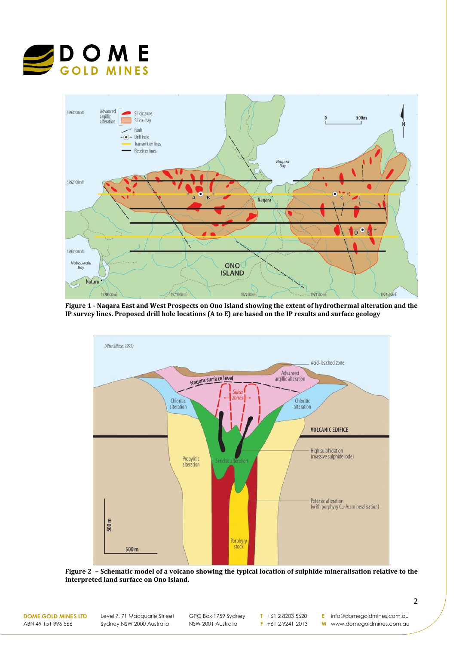



**Figure 1 -Naqara East and West Prospects on Ono Island showing the extent of hydrothermal alteration and the IP survey lines. Proposed drill hole locations (A to E) are based on the IP results and surface geology**



**Figure 2 – Schematic model of a volcano showing the typical location of sulphide mineralisation relative to the interpreted land surface on Ono Island.**

**DOME GOLD MINES LTD** ABN 49 151 996 566

Level 7, 71 Macquarie Street Sydney NSW 2000 Australia

GPO Box 1759 Sydney NSW 2001 Australia

**T** +61 2 8203 5620 **F** +61 2 9241 2013

**E** info@domegoldmines.com.au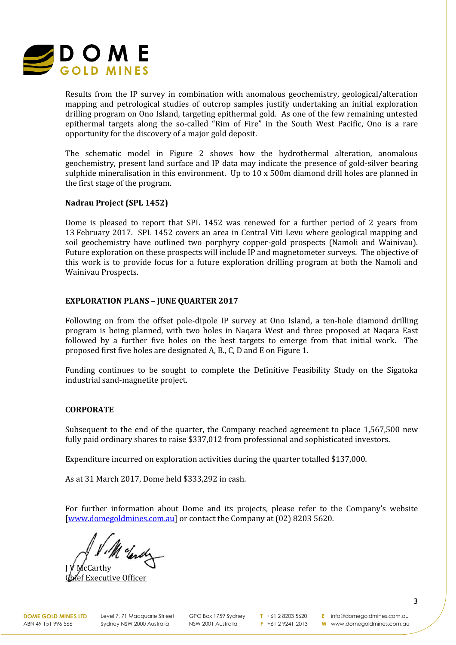

Results from the IP survey in combination with anomalous geochemistry, geological/alteration mapping and petrological studies of outcrop samples justify undertaking an initial exploration drilling program on Ono Island, targeting epithermal gold. As one of the few remaining untested epithermal targets along the so-called "Rim of Fire" in the South West Pacific, Ono is a rare opportunity for the discovery of a major gold deposit.

The schematic model in Figure 2 shows how the hydrothermal alteration, anomalous geochemistry, present land surface and IP data may indicate the presence of gold-silver bearing sulphide mineralisation in this environment. Up to 10 x 500m diamond drill holes are planned in the first stage of the program.

#### **Nadrau Project (SPL 1452)**

Dome is pleased to report that SPL 1452 was renewed for a further period of 2 years from 13 February 2017. SPL 1452 covers an area in Central Viti Levu where geological mapping and soil geochemistry have outlined two porphyry copper-gold prospects (Namoli and Wainivau). Future exploration on these prospects will include IP and magnetometer surveys. The objective of this work is to provide focus for a future exploration drilling program at both the Namoli and Wainivau Prospects.

#### **EXPLORATION PLANS – JUNE QUARTER 2017**

Following on from the offset pole-dipole IP survey at Ono Island, a ten-hole diamond drilling program is being planned, with two holes in Naqara West and three proposed at Naqara East followed by a further five holes on the best targets to emerge from that initial work. The proposed first five holes are designated A, B., C, D and E on Figure 1.

Funding continues to be sought to complete the Definitive Feasibility Study on the Sigatoka industrial sand-magnetite project.

#### **CORPORATE**

Subsequent to the end of the quarter, the Company reached agreement to place 1,567,500 new fully paid ordinary shares to raise \$337,012 from professional and sophisticated investors.

Expenditure incurred on exploration activities during the quarter totalled \$137,000.

As at 31 March 2017, Dome held \$333,292 in cash.

For further information about Dome and its projects, please refer to the Company's website [www.domegoldmines.com.au] or contact the Company at (02) 8203 5620.

Me clared

J V McCarthy ef Executive Officer